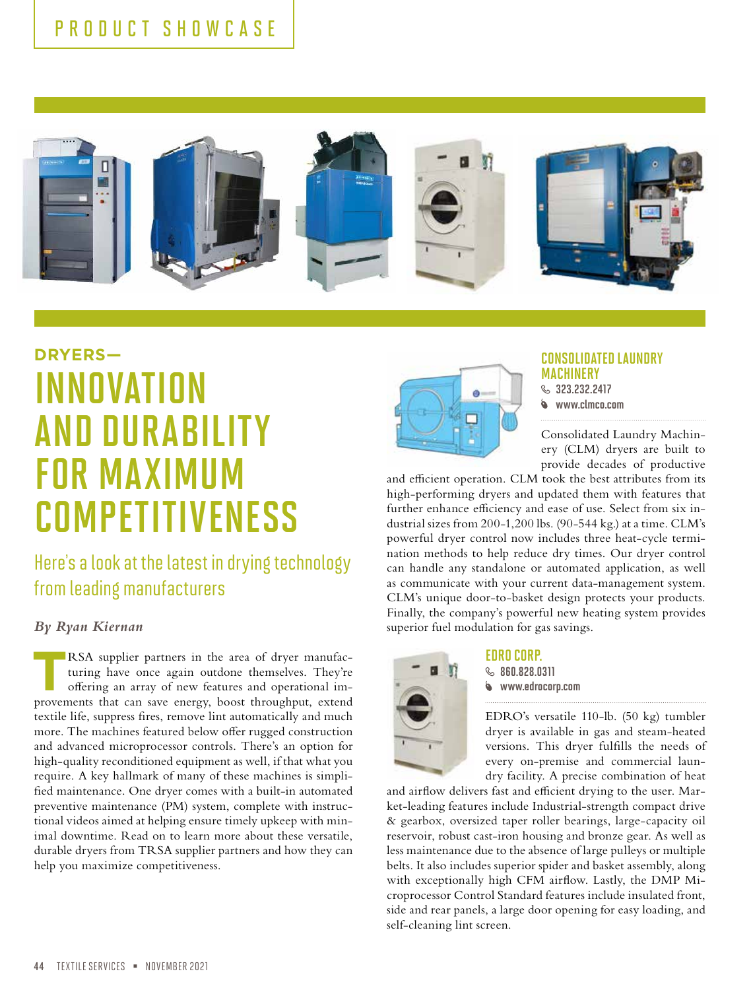

# **DRYERS—** INNOVATION AND DURABILITY FOR MAXIMUM **COMPETITIVENESS**

## Here's a look at the latest in drying technology from leading manufacturers

#### *By Ryan Kiernan*

RSA supplier partners in the area of dryer manufacturing have once again outdone themselves. They're offering an array of new features and operational improvements that can save energy, boost throughput, extend textile life, suppress fires, remove lint automatically and much more. The machines featured below offer rugged construction and advanced microprocessor controls. There's an option for high-quality reconditioned equipment as well, if that what you require. A key hallmark of many of these machines is simplified maintenance. One dryer comes with a built-in automated preventive maintenance (PM) system, complete with instructional videos aimed at helping ensure timely upkeep with minimal downtime. Read on to learn more about these versatile, durable dryers from TRSA supplier partners and how they can help you maximize competitiveness.



#### CONSOLIDATED LAUNDRY **MACHINERY**

 $\&$  323 232 2412 www.clmco.com

Consolidated Laundry Machinery (CLM) dryers are built to provide decades of productive

and efficient operation. CLM took the best attributes from its high-performing dryers and updated them with features that further enhance efficiency and ease of use. Select from six industrial sizes from 200-1,200 lbs. (90-544 kg.) at a time. CLM's powerful dryer control now includes three heat-cycle termination methods to help reduce dry times. Our dryer control can handle any standalone or automated application, as well as communicate with your current data-management system. CLM's unique door-to-basket design protects your products. Finally, the company's powerful new heating system provides superior fuel modulation for gas savings.



#### EDRO CORP.  $$860.828.0311$

www.edrocorp.com

EDRO's versatile 110-lb. (50 kg) tumbler dryer is available in gas and steam-heated versions. This dryer fulfills the needs of every on-premise and commercial laundry facility. A precise combination of heat

and airflow delivers fast and efficient drying to the user. Market-leading features include Industrial-strength compact drive & gearbox, oversized taper roller bearings, large-capacity oil reservoir, robust cast-iron housing and bronze gear. As well as less maintenance due to the absence of large pulleys or multiple belts. It also includes superior spider and basket assembly, along with exceptionally high CFM airflow. Lastly, the DMP Microprocessor Control Standard features include insulated front, side and rear panels, a large door opening for easy loading, and self-cleaning lint screen.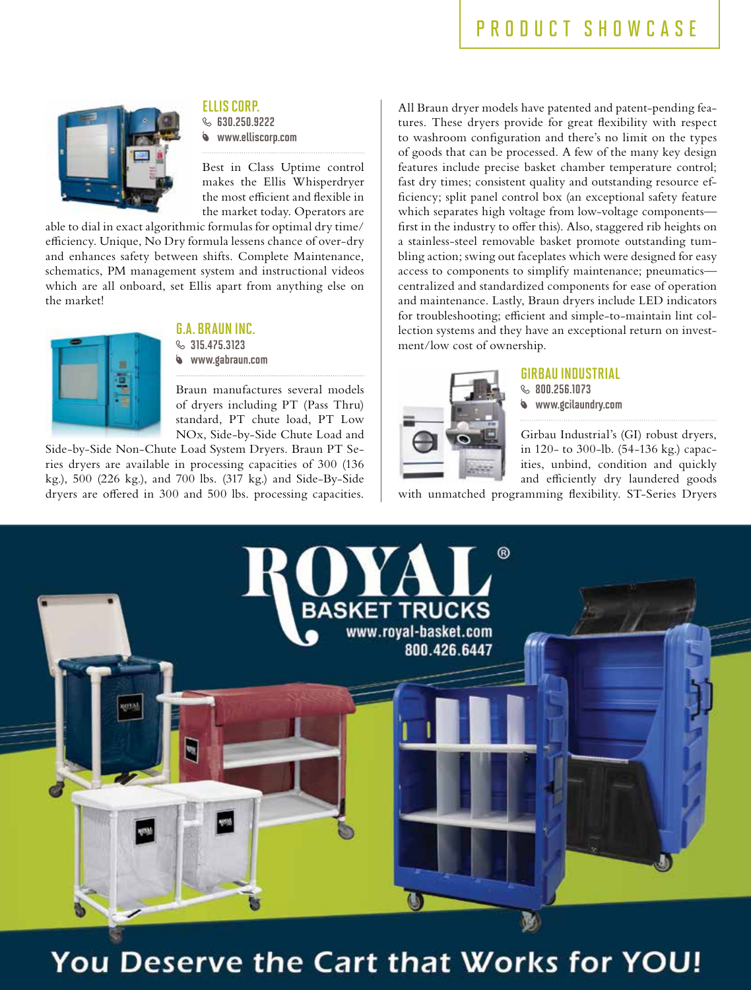### PRODUCT SHOWCASE



ELLIS CORP.  $$530.250.9222$ 

www.elliscorp.com

Best in Class Uptime control makes the Ellis Whisperdryer the most efficient and flexible in the market today. Operators are

able to dial in exact algorithmic formulas for optimal dry time/ efficiency. Unique, No Dry formula lessens chance of over-dry and enhances safety between shifts. Complete Maintenance, schematics, PM management system and instructional videos which are all onboard, set Ellis apart from anything else on the market!



#### G.A. BRAUN INC.

 $$315.475.3123$ www.gabraun.com

Braun manufactures several models of dryers including PT (Pass Thru) standard, PT chute load, PT Low NOx, Side-by-Side Chute Load and

Side-by-Side Non-Chute Load System Dryers. Braun PT Series dryers are available in processing capacities of 300 (136 kg.), 500 (226 kg.), and 700 lbs. (317 kg.) and Side-By-Side dryers are offered in 300 and 500 lbs. processing capacities.

All Braun dryer models have patented and patent-pending features. These dryers provide for great flexibility with respect to washroom configuration and there's no limit on the types of goods that can be processed. A few of the many key design features include precise basket chamber temperature control; fast dry times; consistent quality and outstanding resource efficiency; split panel control box (an exceptional safety feature which separates high voltage from low-voltage components first in the industry to offer this). Also, staggered rib heights on a stainless-steel removable basket promote outstanding tumbling action; swing out faceplates which were designed for easy access to components to simplify maintenance; pneumatics centralized and standardized components for ease of operation and maintenance. Lastly, Braun dryers include LED indicators for troubleshooting; efficient and simple-to-maintain lint collection systems and they have an exceptional return on investment/low cost of ownership.



#### GIRBAU INDUSTRIAL

**800.256.1073** www.gcilaundry.com

Girbau Industrial's (GI) robust dryers, in 120- to 300-lb. (54-136 kg.) capacities, unbind, condition and quickly and efficiently dry laundered goods

with unmatched programming flexibility. ST-Series Dryers



## You Deserve the Cart that Works for YOU!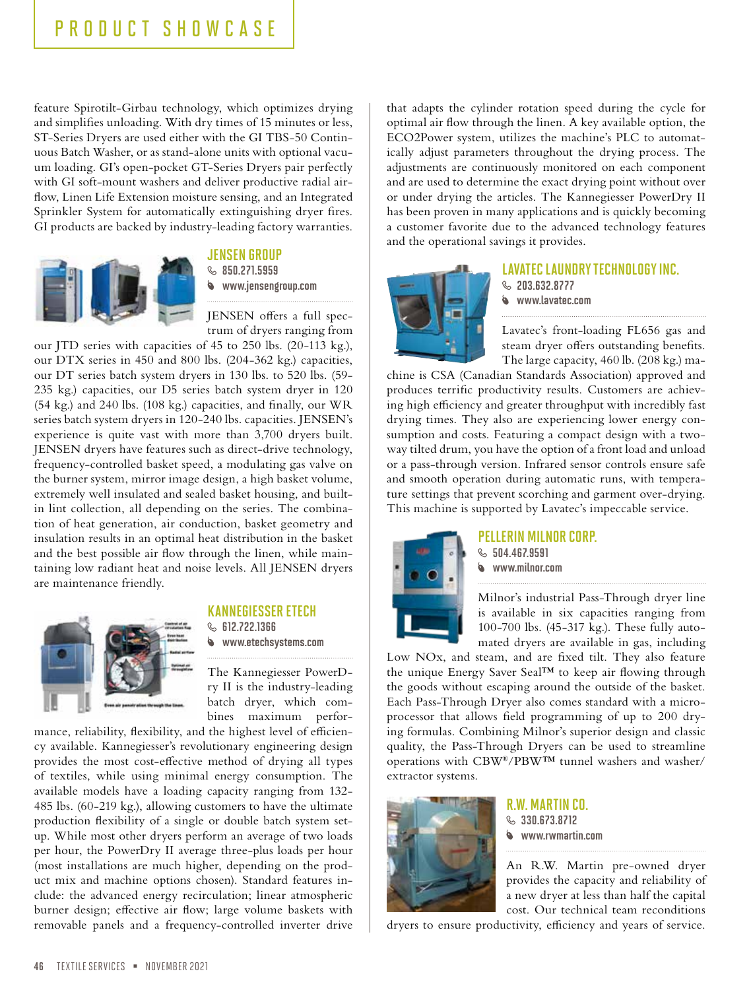feature Spirotilt-Girbau technology, which optimizes drying and simplifies unloading. With dry times of 15 minutes or less, ST-Series Dryers are used either with the GI TBS-50 Continuous Batch Washer, or as stand-alone units with optional vacuum loading. GI's open-pocket GT-Series Dryers pair perfectly with GI soft-mount washers and deliver productive radial airflow, Linen Life Extension moisture sensing, and an Integrated Sprinkler System for automatically extinguishing dryer fires. GI products are backed by industry-leading factory warranties.



#### JENSEN GROUP

 $\&$  850.271.5959 www.jensengroup.com

JENSEN offers a full spectrum of dryers ranging from

our JTD series with capacities of 45 to 250 lbs. (20-113 kg.), our DTX series in 450 and 800 lbs. (204-362 kg.) capacities, our DT series batch system dryers in 130 lbs. to 520 lbs. (59- 235 kg.) capacities, our D5 series batch system dryer in 120 (54 kg.) and 240 lbs. (108 kg.) capacities, and finally, our WR series batch system dryers in 120-240 lbs. capacities. JENSEN's experience is quite vast with more than 3,700 dryers built. JENSEN dryers have features such as direct-drive technology, frequency-controlled basket speed, a modulating gas valve on the burner system, mirror image design, a high basket volume, extremely well insulated and sealed basket housing, and builtin lint collection, all depending on the series. The combination of heat generation, air conduction, basket geometry and insulation results in an optimal heat distribution in the basket and the best possible air flow through the linen, while maintaining low radiant heat and noise levels. All JENSEN dryers are maintenance friendly.



#### KANNEGIESSER ETECH

 $$B12.722.1366$ www.etechsystems.com

The Kannegiesser PowerDry II is the industry-leading batch dryer, which combines maximum perfor-

mance, reliability, flexibility, and the highest level of efficiency available. Kannegiesser's revolutionary engineering design provides the most cost-effective method of drying all types of textiles, while using minimal energy consumption. The available models have a loading capacity ranging from 132- 485 lbs. (60-219 kg.), allowing customers to have the ultimate production flexibility of a single or double batch system setup. While most other dryers perform an average of two loads per hour, the PowerDry II average three-plus loads per hour (most installations are much higher, depending on the product mix and machine options chosen). Standard features include: the advanced energy recirculation; linear atmospheric burner design; effective air flow; large volume baskets with removable panels and a frequency-controlled inverter drive

that adapts the cylinder rotation speed during the cycle for optimal air flow through the linen. A key available option, the ECO2Power system, utilizes the machine's PLC to automatically adjust parameters throughout the drying process. The adjustments are continuously monitored on each component and are used to determine the exact drying point without over or under drying the articles. The Kannegiesser PowerDry II has been proven in many applications and is quickly becoming a customer favorite due to the advanced technology features and the operational savings it provides.



#### LAVATEC LAUNDRY TECHNOLOGY INC.

- $\&$  203.632.8777
- www.lavatec.com

Lavatec's front-loading FL656 gas and steam dryer offers outstanding benefits. The large capacity, 460 lb. (208 kg.) ma-

chine is CSA (Canadian Standards Association) approved and produces terrific productivity results. Customers are achieving high efficiency and greater throughput with incredibly fast drying times. They also are experiencing lower energy consumption and costs. Featuring a compact design with a twoway tilted drum, you have the option of a front load and unload or a pass-through version. Infrared sensor controls ensure safe and smooth operation during automatic runs, with temperature settings that prevent scorching and garment over-drying. This machine is supported by Lavatec's impeccable service.



#### PELLERIN MILNOR CORP.

 $$504.467.9591$ www.milnor.com

Milnor's industrial Pass-Through dryer line is available in six capacities ranging from 100-700 lbs. (45-317 kg.). These fully automated dryers are available in gas, including

Low NOx, and steam, and are fixed tilt. They also feature the unique Energy Saver Seal™ to keep air flowing through the goods without escaping around the outside of the basket. Each Pass-Through Dryer also comes standard with a microprocessor that allows field programming of up to 200 drying formulas. Combining Milnor's superior design and classic quality, the Pass-Through Dryers can be used to streamline operations with CBW®/PBW™ tunnel washers and washer/ extractor systems.



R.W. MARTIN CO.  $\&$  330.673.8712 www.rwmartin.com

An R.W. Martin pre-owned dryer provides the capacity and reliability of a new dryer at less than half the capital cost. Our technical team reconditions

dryers to ensure productivity, efficiency and years of service.